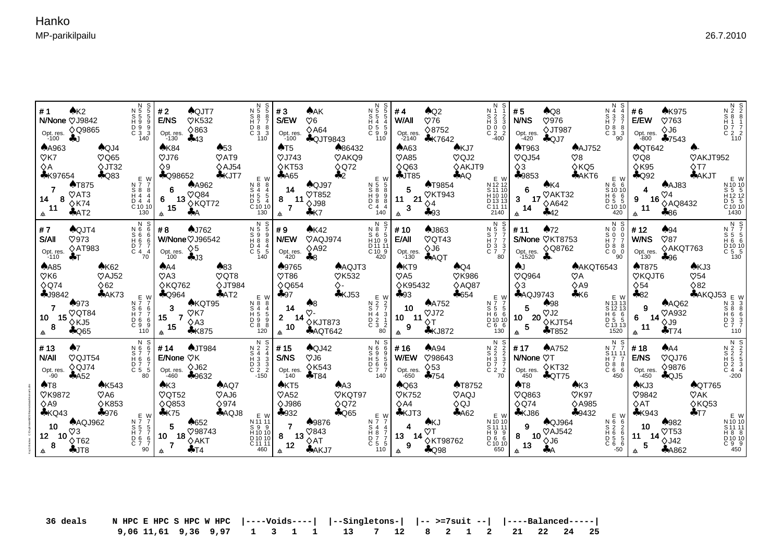Kaj G Backas C:\Duplimate\BOS\hkoma\data\hkoma#1.dlm

| AK2<br>#1<br>N/None $\heartsuit$ J9842<br>Opt. res. $\Diamond$ Q9865<br>$-100$ AJ<br><b>AA963</b><br>$A$ QJ4<br>$\heartsuit$ Q65<br>$\heartsuit$ K7<br>$\Diamond$ JT32<br>$\Diamond A$<br>$A$ Q83<br><b>*K97654</b><br>$\triangle$ T875<br>$\heartsuit$ AT3<br>14<br>$\Diamond$ K74<br>11<br>AAT2                                                                            | N 5<br>5<br>$\begin{array}{ccc} \n 85 & 5 \\  19 & 9\n \end{array}$<br>$\begin{array}{ccc} D & 9 & 9 \\ C & 3 & 3 \end{array}$<br>140<br>N 7 7<br>S 8 8<br>$H_4$ $\check{4}$<br>$\begin{bmatrix} 1 & 7 & 7 \\ 0 & 4 & 4 \\ 0 & 10 & 10 \\ 130 & 1 \end{bmatrix}$ | #2<br>$A$ QJT7<br>E/NS<br><b>VK532</b><br>$\Diamond$ 863<br>Opt. res.<br>$-130$ $\clubsuit$ 43<br>AK84<br>$\clubsuit 53$<br>$\heartsuit$ J76<br>$\mathcal{O}$ AT9<br>$\diamond$ AJ54<br>$\lozenge$ 9<br>$E_{W}$ $\sim$ Q98652<br>$*$ KJT7<br>$\begin{array}{c}\n7 \\ \left.\begin{array}{cc}\n6 & \text{A}4962 \\ 6 & 13 \sqrt{Q}84 \\ 15 & \text{A}4\n\end{array}\right\} \\ \text{A} \end{array}$<br>$\bigstar$<br>க ∙                                                                                                                             | N<br>N 5 5<br>$\begin{array}{c} 888 \\ H77 \end{array}$<br>D 8 8<br>C 3 3<br>110<br>EW<br>N 8 8<br>S 4 4<br>H 5 5<br>D 5 4<br>C 10 10<br>130                                      | #3<br>♠AK<br>S/EW<br>$\heartsuit6$<br>$\diamond$ A64<br>Opt. res.<br>$\clubsuit$ QJT9843 $\frac{3}{110}$<br>$-100$<br>▲86432<br>AT5<br>$\heartsuit$ J743<br>VAKQ9<br>$\Diamond$ KT53<br>$\Diamond$ Q72<br>$\clubsuit$ 2<br>A65<br>$A$ QJ97<br>14<br><b>VT852</b><br>$8 \t11 \t \times 198$<br>$*K7$<br>$\mathbb A$                                                                             | N S<br>N 5 5<br>S 5 5<br>H 4 4<br>W/A<br>D 5 5<br>C 9 9<br>E W                                                                                                                                                                                                                                                 | $\bigwedge$ Q2<br>W/All<br>$\heartsuit$ 76<br>Opt. res. $\Diamond$ 8752<br>$-2140$ $\bullet$ K7642<br>AKJ7<br>AAG3<br>$\heartsuit$ A85<br>$\heartsuit$ QJ2<br>$\Diamond$ Q63<br>$\diamond$ AKJT9<br>$\clubsuit$ JT85<br>AQ<br>N 5 8 8<br>B 8 9<br>H 9 8 8<br>C 4 4<br>$(100)$<br>$(140)$<br>$(24)$<br>$(30)$<br>$(40)$<br>$(40)$<br>$(40)$<br>$(40)$<br>$(40)$<br>$(40)$<br>$(40)$<br>$(40)$<br>$5 \quad 5 \quad 79854$ | S <sub>2</sub><br>$\overline{H}$ $\overline{3}$ $\overline{3}$<br>D 0 0<br>E W<br>N 12 12<br>S 11 10<br>$\begin{bmatrix} 1 & 1 & 1 & 1 \\ 1 & 1 & 0 & 1 \\ 0 & 1 & 3 & 13 \end{bmatrix}$<br>$\begin{bmatrix} 211 & 11 \\ 2140 \end{bmatrix}$ | #5<br>$A$ Q8<br>N 4<br>S 3<br><b>N/NS</b><br>$\heartsuit$ 976<br>H 7 7<br>D 8 8<br>$\diamond$ JT987<br>$C_{2}^{0}$ 2   Opt. res. $\sqrt{3130}$<br>$\overline{C}$ $\overline{3}$ $\overline{3}$<br>90<br><b>AAJ752</b><br><b>AT963</b><br>$\heartsuit$ QJ54<br>$\heartsuit$ 8<br>$\Diamond$ KQ5<br>♦3<br>♣9853<br>AAKT6<br>E W<br>N 6 6<br>$\begin{array}{c c}\n\uparrow \\ \uparrow \\ 3 & 17 \\ \hline\n& 14 & \uparrow\n\end{array}$<br>$\begin{array}{c}\n\bigwedge_{10} \text{A K4} \\ \uparrow \downarrow \\ \uparrow \downarrow\n\end{array}$<br>S 10 10<br>H 6 6<br>$\begin{bmatrix} 1 & 5 & 5 \\ 0 & 5 & 5 \\ 0 & 10 & 10 \\ 420 & 0 & 0 \end{bmatrix}$<br>442<br>$\triangle$ | <b>AK975</b><br>#6<br>E/EW<br>$\heartsuit$ 763<br>OU ⊘<br>Opt. res. $\sqrt{30}$<br>-800 $\clubsuit$ 7543<br>$\bigwedge$ QT642<br>$\heartsuit$ Q8<br>$\Diamond$ K95<br>$\clubsuit$ Q92<br>$A$ AJ83<br>$\overline{\mathbf{4}}$<br>9 16 $\sqrt{24}$<br>11 $\sqrt[3]{4}$ 486                             | N 2 2<br>S 8 8<br>H 1 1<br>$\begin{array}{c} 117 \\ 07 \\ 7 \\ 2 \\ 110 \end{array}$<br><b>VAKJT952</b><br>$\Diamond$ T7<br><b>AKJT</b> EW<br>N 10 10<br>S 5 5<br>H 12 12<br>D 5 5<br>C 10 10<br>1430                                                                                                                                                                                                                                                                                                                                             |
|------------------------------------------------------------------------------------------------------------------------------------------------------------------------------------------------------------------------------------------------------------------------------------------------------------------------------------------------------------------------------|------------------------------------------------------------------------------------------------------------------------------------------------------------------------------------------------------------------------------------------------------------------|------------------------------------------------------------------------------------------------------------------------------------------------------------------------------------------------------------------------------------------------------------------------------------------------------------------------------------------------------------------------------------------------------------------------------------------------------------------------------------------------------------------------------------------------------|-----------------------------------------------------------------------------------------------------------------------------------------------------------------------------------|------------------------------------------------------------------------------------------------------------------------------------------------------------------------------------------------------------------------------------------------------------------------------------------------------------------------------------------------------------------------------------------------|----------------------------------------------------------------------------------------------------------------------------------------------------------------------------------------------------------------------------------------------------------------------------------------------------------------|-------------------------------------------------------------------------------------------------------------------------------------------------------------------------------------------------------------------------------------------------------------------------------------------------------------------------------------------------------------------------------------------------------------------------|----------------------------------------------------------------------------------------------------------------------------------------------------------------------------------------------------------------------------------------------|---------------------------------------------------------------------------------------------------------------------------------------------------------------------------------------------------------------------------------------------------------------------------------------------------------------------------------------------------------------------------------------------------------------------------------------------------------------------------------------------------------------------------------------------------------------------------------------------------------------------------------------------------------------------------------------|------------------------------------------------------------------------------------------------------------------------------------------------------------------------------------------------------------------------------------------------------------------------------------------------------|---------------------------------------------------------------------------------------------------------------------------------------------------------------------------------------------------------------------------------------------------------------------------------------------------------------------------------------------------------------------------------------------------------------------------------------------------------------------------------------------------------------------------------------------------|
| $A$ QJT4<br>#7<br>$\heartsuit$ 973<br>S/All<br>$\diamond$ AT983<br>Opt. res. $\sqrt{AB}$<br>-110 $\bullet$ T<br>A K62<br>$A$ A85<br>$\heartsuit$ K6<br>$\heartsuit$ AJ52<br>$\Diamond$ Q74<br>$\Diamond$ 62<br>$-19842$<br>AAK73<br>$\clubsuit$ 973<br>$\sqrt{Q}$ CT84<br>10 $15\overline{\smash{\big)}\smash{\big)}\times}$ $\overline{\mathsf{K}}$<br>8<br>$\clubsuit$ Q65 | N S<br>N 6<br>S 6<br>H 6<br>6<br>$\begin{bmatrix} 0 & 7 & 7 \\ 0 & 4 & 4 \\ 70 & 0 & 0 \end{bmatrix}$<br>N 7 7<br>$\begin{bmatrix} 5 & 6 & 6 \\ H & 7 & 7 \end{bmatrix}$                                                                                         | $\clubsuit$ J762<br>#8<br>W/None $\heartsuit$ J96542<br>Opt. res. $\diamond$ 5<br>$100$ $\clubsuit$ J3<br>AA4<br>$\clubsuit$ 83<br>$\heartsuit$ QT8<br>$\heartsuit$ A3<br><b>◇KQ762</b><br>$\Diamond$ JT984<br>AAT2<br>$E_{\rm W}$ + Q964<br>$3 \overset{\bullet}{\underset{O}{\wedge} KQT95}$<br>$\begin{array}{c cc}\n\stackrel{\text{S 6 6}}{\text{D 6 6}} & 15 & 7 & \text{OK7} \\ \hline\n0 & 6 & 15 & 7 & \text{NA3} \\ \hline\n110 & & 15 & 4 & \text{K875}\n\end{array}$                                                                     | N S<br>$\begin{array}{ccc}\nN & 5 & 5 \\ S & 9 & 9\n\end{array}$<br>H88<br>$\begin{bmatrix} 0 & 4 & 4 \\ C & 5 & 5 \end{bmatrix}$<br>140<br>E W<br>N 8 8<br>S 4 4<br>70001<br>120 | #9<br>AK42<br><b>N/EW</b><br>VAQJ974<br>$\diamond$ A92<br>Opt. res.<br>420<br>♣8<br>▲9765<br><b>AAQJT3</b><br>$\sqrt{786}$<br><b>VK532</b><br>$\diamond$ - $\circ$<br><b>◇Q654</b><br>$\frac{1}{2}$ KJ53 EW<br>$+97$<br>A8<br>14<br>$2\begin{array}{l} 14 \ \hline 2 \end{array}$ 14 $\begin{array}{l} 2. \\ \hline 40 \end{array}$ XJT873<br>$\triangle$<br>10 <sup>°</sup><br><b>AAQT642</b> | N S<br>$\begin{array}{ccc}\nN & 8 & 7 \\ S & 6 & 5\n\end{array}$<br>$H_1$ $\delta$ $\delta$   E/All<br>D <sub>11</sub> 11<br>$\overline{C}$ 10 $\overline{9}$<br>420<br>$\begin{array}{ccc} N & 2 & 2 \\ S & 7 & 7 \\ H & 4 & 3 \end{array}$<br>$\begin{bmatrix} 0 & 2 & 1 \\ 0 & 3 & 2 \end{bmatrix}$<br>80 l | <b>AJ863</b><br># 10<br>$\heartsuit$ QT43<br>$\diamond$ J6<br>Opt. res.<br>$-130$<br>$A$ AOT<br>AKT9<br>$\bigwedge Q4$<br>$\heartsuit$ A5<br><b>VK986</b><br>◇K95432<br>$\diamond$ AQ87<br>$-654$<br>$+93$<br><b>AA752</b><br>10                                                                                                                                                                                        | N S<br>$\begin{array}{cc}\nN & 5 & 5 \\ S & 7 & 7\n\end{array}$<br>$H\dot{7}$ $\dot{7}$                                                                                                                                                      | $^-$ N S<br>$\clubsuit$ 72<br>$\begin{array}{c}\nN & 0 & 0 \\ S & 0 & 0\n\end{array}$<br>#11<br>S/None VKT8753<br>$H\ddot{7}$ $\ddot{7}$<br>$\begin{bmatrix} 1 & 3 & 3 \\ 2 & 7 & 7 \\ 80 & -1520 \end{bmatrix}$ CPt. res. $\Diamond$ Q8762<br>$\left[\begin{smallmatrix} 0 & 8 & 8 \\ 0 & 0 & 0 \end{smallmatrix}\right]$<br>90<br><b>AAKQT6543</b><br>AJ.<br><b>VQ964</b><br>$\heartsuit$ A<br>$\diamond$ A9<br>$\Diamond$ 3<br>$*K6$<br>$E_{\text{W}}$ $\clubsuit$ AQJ9743<br>S 5 5 5 5 498<br>H 6 6 10 20 V 12<br>C 6 6 5 X 1754<br>$\frac{130}{N \text{ s}}$ 5 $\frac{1}{N \text{ s}}$<br>N 13 13<br>$S$ 12 13<br>H 6 6<br>D 5 5<br>C 13 13<br>1520                              | #12<br>A94<br>W/NS<br>$\heartsuit$ 87<br>Opt. res. ◇AKQT763<br>130 – 수96<br><b>AT875</b><br>VKQJT6<br>$\Diamond$ 54<br>$E W$ $\clubsuit 82$<br><b>AAQ62</b><br>$\overline{\phantom{a}}$ 9<br>$6\begin{array}{l}\n 9 \\  14 \bigotimes 19 \\  \bigotimes 19\n \end{array}$<br>$^{\circ}$ 11<br>$+T74$ | N S<br>N 7 7 5<br>H 8 6 6<br>D 10 10<br>C 5 5<br>130<br>AKJ3<br>$\heartsuit$ 54<br>♦82<br>A K Q J53 E W<br>$N$ 3 3 8 8 6 3 3 8 6 3 3 7 7 $\sim$<br>110                                                                                                                                                                                                                                                                                                                                                                                            |
| #13<br>A7<br>$\heartsuit$ QJT54<br><b>N/AII</b><br>♦ QJ74<br>Opt. res.<br>$-90$ $\clubsuit$ A52<br><b>AK543</b><br>AT8<br><b>VK9872</b><br>$\heartsuit$ A6<br>$\Diamond$ A9<br><b>◇K853</b><br>$\clubsuit$ KQ43<br>$+976$<br>$A\text{AQJ}962$<br>10 <sup>1</sup><br>12 10 $\frac{10}{6}$ 10 $\frac{10}{162}$<br>8 <sup>1</sup><br>$+JT8$                                     | N S<br>N 6 6<br>$S7$ 7<br>H66<br>$\begin{bmatrix} 0 & 7 & 7 \\ 5 & 5 \end{bmatrix}$<br>$80^\circ$                                                                                                                                                                | # 14<br>$\bigtriangleup$ JT984<br>E/None ♡K<br>A K3<br>AAQ7<br>$\sqrt{0}$ OT52<br>$\heartsuit$ AJ6<br><b>◇Q853</b><br>$\Diamond$ 974<br>AQQJ8<br>$E_{\text{W}}$ + K75<br>$\begin{array}{c c}\n\text{N}^{\text{F}}\n\text{S}^{\text{F}}\n\text{S}^{\text{F}}\n\text{S}^{\text{F}}\n\text{S}^{\text{F}}\n\text{S}^{\text{F}}\n\text{S}^{\text{F}}\n\text{S}^{\text{F}}\n\text{S}^{\text{F}}\n\text{S}^{\text{F}}\n\text{S}^{\text{F}}\n\text{S}^{\text{F}}\n\text{S}^{\text{F}}\n\text{S}^{\text{F}}\n\text{S}^{\text{F}}\n\text{A}^{\text{F}}\n\text$ | N S<br>$N$ 2 $2$<br>$S_4$<br>$H_3$ $3$<br>$\begin{bmatrix} 0 & 3 & 3 \\ 2 & 2 & 2 \\ -150 & 5 & 5 \end{bmatrix}$<br>E W<br>$N$ 11 11                                              | l # 15<br>$\bigwedge$ QJ42<br>S/NS<br>OUS<br>$\Diamond$ K543<br>Opt. res.<br>140<br>$+T84$<br>AKT5<br>AA3<br><b>VKQT97</b><br>$\heartsuit$ A52<br><b>◇J986</b><br>$\Diamond$ Q72<br>$A$ Q65<br>$+932$<br>♠9876<br>7 <sup>7</sup>                                                                                                                                                               | N S<br>N 6 6<br>S 9 9<br>$H\bar{5}5$<br>$\begin{bmatrix} 0 & 6 & 6 \\ 0 & 7 & 7 \\ 140 & 1 \end{bmatrix}$<br>E W                                                                                                                                                                                               | $A$ A94<br># 16<br>W/EW 098643<br>Opt. res. $\sqrt[6]{53}$<br>-650 - 754<br>$-650$ $\clubsuit$ 754<br><b>AT8752</b><br>$\bigwedge$ Q63<br><b>VK752</b><br>VAQJ<br>$\diamond$ A4<br>♦QJ<br><b>AKJT3</b><br>A62<br>N 2 7 4<br>B 4 4 $\circ$ T<br>D 7 7 4 $\circ$ T<br>D 7 5 5<br>C 5 5 5 9 4 Q98<br>$4 \in \mathbb{R}^{K}$                                                                                                | N S<br>N 2 2                                                                                                                                                                                                                                 | $N N$ 5<br>#17<br>$A$ A752<br>S 11 11<br>$\begin{array}{c c}\nS & 2 & 2 \\ H & 3 & 3\n\end{array}$ N/None $\heartsuit$ T<br>H77<br>$\begin{array}{c} 0\overline{7} & \overline{7} \\ C & 2 & 2 \\ 70 & 450 \end{array}$ Opt. res. $\begin{array}{c} \diamond$ KT32<br>D 8 8<br>C 6 6<br>450<br>$\clubsuit$ T8<br>AK3<br>$\heartsuit$ K97<br>$\heartsuit$ Q863<br>$\Diamond$ Q74<br>◇A985<br>$_{E}$ <sub>W</sub>   $\clubsuit$ KJ86<br>\$9432<br>EW<br><b>AQJ964</b><br>N 6 6<br>N1010<br>H 9 9<br>D 6 6 10 $\sqrt{3}$<br>C 1010<br>650 <b>4</b> 13 <b>4</b> A<br>$\begin{array}{ccc} S & 2 & 2 \\ H & 6 & 6 \end{array}$<br>$\begin{array}{c} 0.5 \\ 0.6 \\ 0.50 \end{array}$         | AA<br>#18<br>E/NS<br>VQJ76<br>♦9876<br>Opt. res.<br>$-450$<br>$\bigcirc$ QJ5<br>AKJ3<br>$\heartsuit$ 9842<br>$\Diamond$ AT<br>$*K943$<br>$\clubsuit$ 982<br>$-10$<br>$11\frac{10}{5}$ 14 $\frac{\sqrt{153}}{\sqrt{142}}$<br>5 <sub>1</sub><br>$\frac{1}{4}$ 5<br><b>AA862</b>                        | $\begin{array}{r} \n 8 \text{ N} \\ \n 8 \text{ N} \\ \n 9 \text{ N} \\ \n 9 \text{ N} \\ \n 1 \text{ S} \\ \n 1 \text{ S} \\ \n 5 \text{ S} \\ \n 6 \text{ N} \\ \n 1 \text{ N} \\ \n 1 \text{ N} \\ \n 1 \text{ N} \\ \n 1 \text{ N} \\ \n 1 \text{ N} \\ \n 1 \text{ N} \\ \n 1 \text{ N} \\ \n 1 \text{ N} \\ \n 1 \text{ N} \\ \n 1 \text{ N} \\ \n 1 \text{ N} \\ \n 1 \text{ N} \\ \n 1 \text{ N} \\ \n $<br><b>AQT765</b><br>$\heartsuit$ AK<br>$\Diamond$ KQ53<br>$+T7$<br>E W<br>N 10 10<br>S 11 11<br>H 8 8<br>D 10 10<br>C 9 9<br>450 |

 **36 deals N HPC E HPC S HPC W HPC |----Voids----| |--Singletons-| |-- >=7suit --| |----Balanced-----| 9,06 11,61 9,36 9,97 1 3 1 1 13 7 12 8 2 1 2 21 22 24 25**